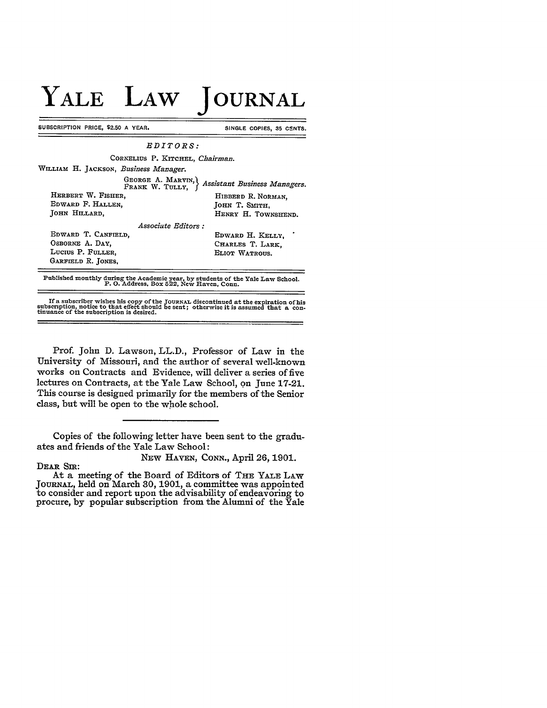## **YALE LAW JOURNAL**

SUBSCRIPTION PRICE, \$2.50 A YEAR. SINGLE COPIES, 35 CENTS.

| $EDITORS$ :                                                                     |                     |
|---------------------------------------------------------------------------------|---------------------|
| CORNELIUS P. KITCHEL. Chairman.                                                 |                     |
| WILLIAM H. JACKSON, Business Manager.                                           |                     |
| GEORGE A. MARVIN.)<br>Assistant Business Managers.<br>FRANK W. TULLY.           |                     |
| HERBERT W. FISHER.                                                              | HIBBERD R. NORMAN.  |
| EDWARD F. HALLEN.                                                               | JOHN T. SMITH.      |
| JOHN HILLARD.                                                                   | HENRY H. TOWNSHEND. |
| Associate Editors :                                                             |                     |
| EDWARD T. CANFIELD.                                                             | EDWARD H. KELLY.    |
| OSBORNE A. DAY.                                                                 | CHARLES T. LARK.    |
| LUCIUS P. FULLER.                                                               | ELIOT WATROUS.      |
| GARFIELD R. JONES,                                                              |                     |
| Published monthly during the Academic year, by students of the Yale Law School. |                     |

P. **0.** Address, Box 522, New Haven, Conn.

If a subscriber wishes his copy of the JOURNAL discontinued at the expiration of his subscription, notice to that effect should be sent; otherwise it is assumed that a continuance of the subscription is desired.

Prof. John **D.** Lawson, LL.D., Professor of Law in the University of Missouri, and the author of several well-known works on Contracts and Evidence, will deliver a series of five lectures on Contracts, at the Yale Law School, on June **17-21.** This course is designed primarily for the members of the Senior class, but will be open to the whole school.

Copies of the following letter have been sent to the graduates and friends of the Yale Law School:

DEAR **SIR:**

NEw HAVEN, CONN., April 26, **1901.**

At a meeting of the Board of Editors of THE YALE LAW JouRNAL, held on March **30, 1901,** a committee was appointed to consider and report upon the advisability of endeavoring to procure, by popular subscription from the Alumni of the Yale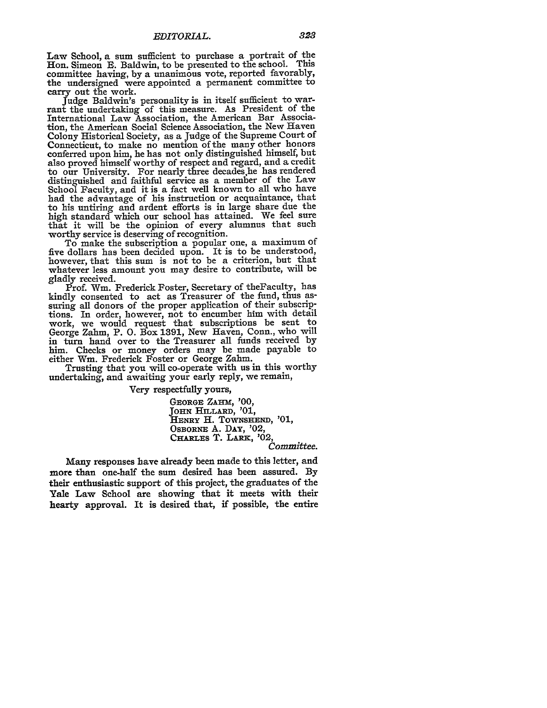Law School, a sum sufficient to purchase a portrait of the Hon. Simeon **E.** Baldwin, to be presented to the school. This committee having, by a unanimous vote, reported favorably, the undersigned were appointed a permanent committee to carry out the work.

Judge Baldwin's personality is in itself sufficient to warrant the undertaking of this measure. As President of the International Law Association, the American Bar Association, the American Social Science Association, the New Haven Colony Historical Society, as a Judge of the Supreme Court of Connecticut, to make no mention of the many other honors conferred upon him, he has not only distinguished himself, but also proved himself worthy of respect and regard, and a credit to our University. For nearly three decades he has rendered distinguished and faithful service as a member of the Law School Faculty, and it is a fact well known to all who have had the advantage of his instruction or acquaintance, that to his untiring and ardent efforts is in large share due the high standard which our school has attained. We feel sure that it will be the opinion of every alumnus that such worthy service is deserving of recognition.

To make the subscription a popular one, a maximum of five dollars has been decided upon. It is to be understood, however, that this sum is not to be a criterion, but that whatever less amount you may desire to contribute, will be gladly received.

Prof. Win. Frederick Foster, Secretary of theFaculty, has kindly consented to act as Treasurer of the fund, thus assuring all donors of the proper application of their subscriptions. In order, however, not to encumber him with detail work, we would request that subscriptions be sent to George Zahm, P. **0.** Box 1391, New Haven, Conn., who will in turn hand over to the Treasurer all funds received by him. Checks or money orders may be made payable to either Win. Frederick Foster or George Zahm.

Trusting that you will co-operate with us in this worthy undertaking, and awaiting your early reply, we remain,

Very respectfully yours,

**GEORGE** ZAHM, **'00,** JOHN **HILLARD,** '01, **HENRY H. TOWNSHEND, '01, OSBORNE A. DAY,** '02, **CHARTES** T. LARK, '02, *Committee.*

Many responses have already been made to this letter, and more than one-half the sum desired has been assured. By their enthusiastic support of this project, the graduates of the Yale Law School are showing that it meets with their hearty approval. It is desired that, if possible, the entire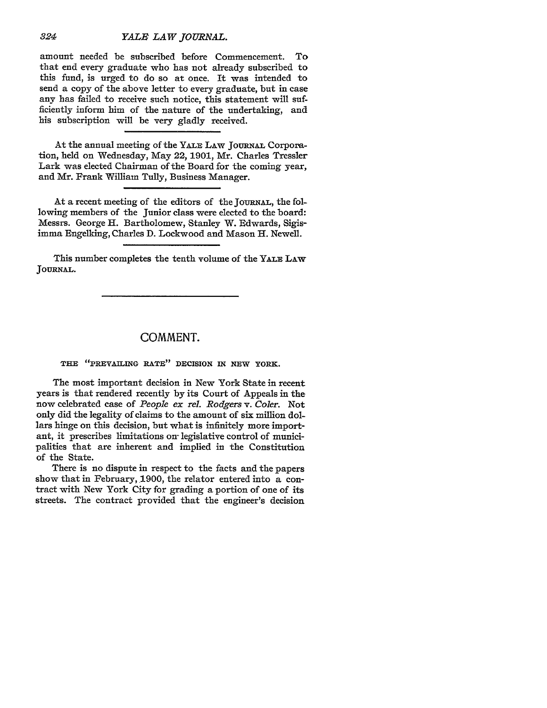## *YALB LAW JOURNAL.*

amount needed be subscribed before Commencement. To that end every graduate who has not already subscribed to this fund, is urged to do so at once. It was intended to send a copy of the above letter to every graduate, but in case any has failed to receive such notice, this statement will sufficiently inform him of the nature of the undertaking, and his subscription will be very gladly received.

At the annual meeting of the YALE LAW JOURNAL Corporation, held on Wednesday, May 22, 1901, Mr. Charles Tressler Lark was elected Chairman of the Board for the coming year, and Mr. Frank William Tully, Business Manager.

At a recent meeting of the editors of the JOURNAL, the following members of the Junior class were elected to the board: Messrs. George H. Bartholomew, Stanley W. Edwards, Sigisimma Engelking, Charles D. Lockwood and Mason H. Newell.

This number completes the tenth volume of the **YALE** LAw **JOURNAL.**

## **COMMENT.**

**THE "PREVAILING RATE" DECISION IN NEW YORK.**

The most important decision in New York State in recent years is that rendered recently **by** its Court of Appeals in the now celebrated case of *People ex rel. Rodgers v. Coler.* Not only did the legality of claims to the amount of six million dollars hinge on this decision, but what is infinitely more important, it prescribes limitations on- legislative control of municipalities that are inherent and implied in the Constitution of the State.

There is no dispute in respect to the facts and the papers show that in February, 1900, the relator entered into a contract with New York City for grading a portion of one of its streets. The contract provided that the engineer's decision

*324*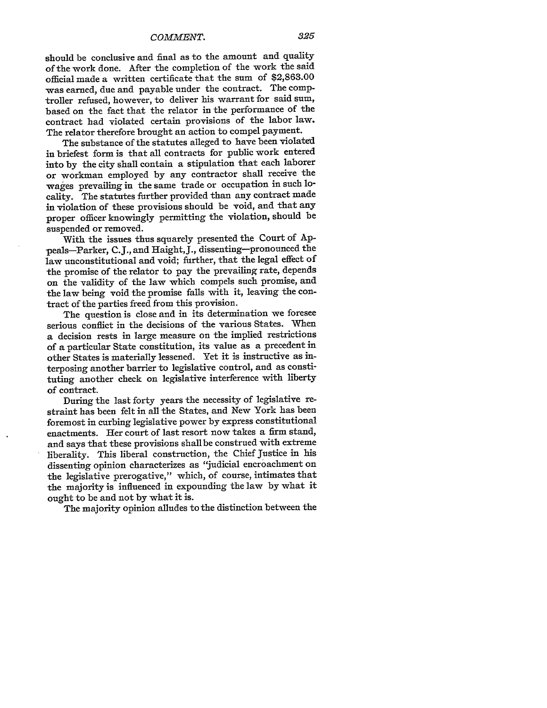should be conclusive and final as to the amount and quality of the work done. After the completion of the work the said official made a written certificate that the sum of \$2,863.00 was earned, due and payable under the contract. The comptroller refused, however, to deliver his warrant for said sum, based on the fact that the relator in the performance of the contract had violated certain provisions of the labor law. The relator therefore brought an action to compel payment.

The substance of the statutes alleged to have been violated in briefest form is that all contracts for public work entered into by the city shall contain a stipulation that each laborer or workman employed by any contractor shall receive the wages prevailing in the same trade or occupation in such locality. The statutes further provided than any contract made in violation of these provisions should be void, and that any proper officer knowingly permitting the violation, should be suspended or removed.

With the issues thus squarely presented the Court of **Ap**peals-Parker, C.J., and Haight,J., dissenting-pronounced the law unconstitutional and void; further, that the legal effect of the promise of the relator to pay the prevailing rate, depends on the validity of the law which compels such promise, and the law being void the promise falls with it, leaving the contract of the parties freed from this provision.

The question is close and in its determination we foresee serious conflict in the decisions of the various States. When a decision rests in large measure on the implied restrictions of a particular State constitution, its value as a precedent in other States is materially lessened. Yet it is instructive as interposing another barrier to legislative control, and as constituting another check on legislative interference with liberty of contract.

During the last forty years the necessity of legislative restraint has been felt in all the States, and New York has been foremost in curbing legislative power by express constitutional enactments. Her court of last resort now takes a firm stand, and says that these provisions shall be construed with extreme liberality. This liberal construction, the Chief Justice in his dissenting opinion characterizes as "judicial encroachment on the legislative prerogative," which, of course, intimates that the majority is influenced in expounding the law by what it ought to be and not by what it is.

The majority opinion alludes to the distinction between the